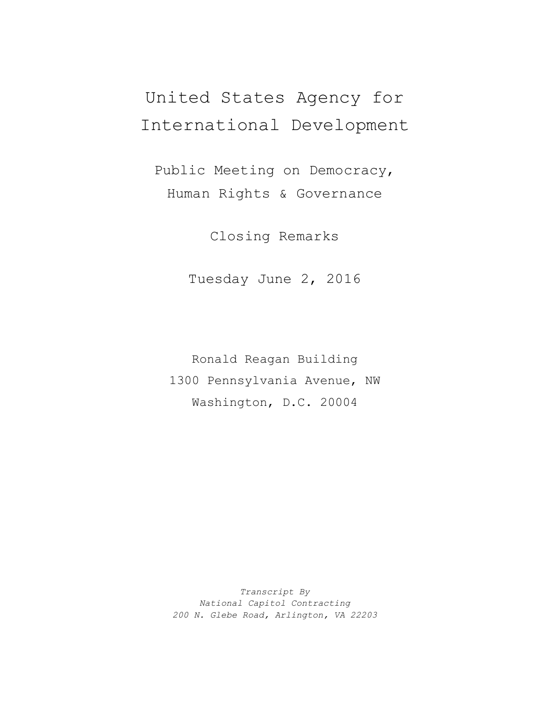## United States Agency for International Development

Public Meeting on Democracy, Human Rights & Governance

Closing Remarks

Tuesday June 2, 2016

Ronald Reagan Building 1300 Pennsylvania Avenue, NW Washington, D.C. 20004

*Transcript By National Capitol Contracting 200 N. Glebe Road, Arlington, VA 22203*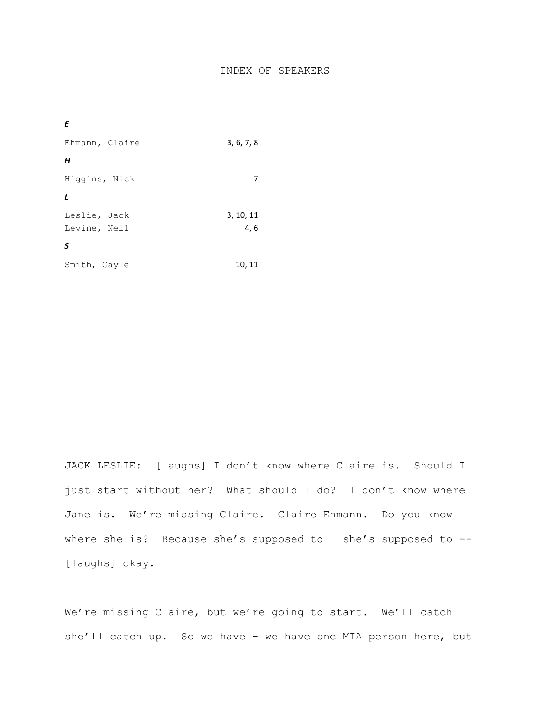## INDEX OF SPEAKERS

| Ε              |            |
|----------------|------------|
| Ehmann, Claire | 3, 6, 7, 8 |
| H              |            |
| Higgins, Nick  |            |
| $\mathbf{L}$   |            |
| Leslie, Jack   | 3, 10, 11  |
| Levine, Neil   | 4,6        |
| S              |            |
| Smith, Gayle   | 10, 11     |

JACK LESLIE: [laughs] I don't know where Claire is. Should I just start without her? What should I do? I don't know where Jane is. We're missing Claire. Claire Ehmann. Do you know where she is? Because she's supposed to - she's supposed to --[laughs] okay.

We're missing Claire, but we're going to start. We'll catch she'll catch up. So we have - we have one MIA person here, but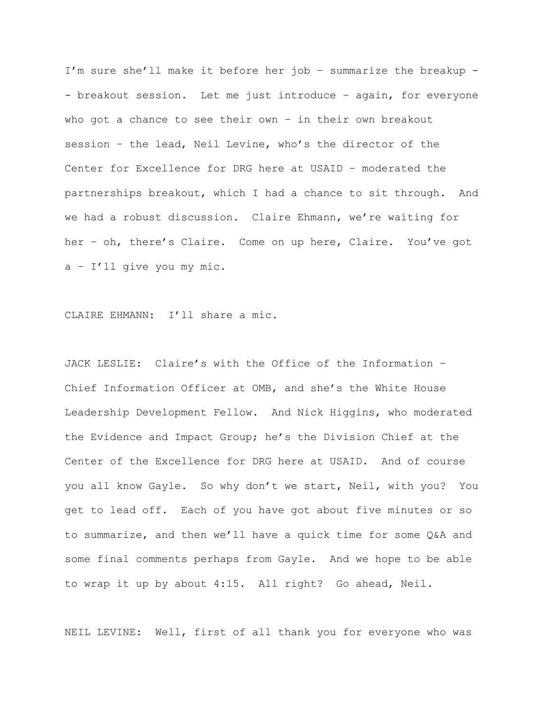I'm sure she'll make it before her job – summarize the breakup - - breakout session. Let me just introduce – again, for everyone who got a chance to see their own – in their own breakout session – the lead, Neil Levine, who's the director of the Center for Excellence for DRG here at USAID – moderated the partnerships breakout, which I had a chance to sit through. And we had a robust discussion. Claire Ehmann, we're waiting for her – oh, there's Claire. Come on up here, Claire. You've got a – I'll give you my mic.

CLAIRE EHMANN: I'll share a mic.

JACK LESLIE: Claire's with the Office of the Information – Chief Information Officer at OMB, and she's the White House Leadership Development Fellow. And Nick Higgins, who moderated the Evidence and Impact Group; he's the Division Chief at the Center of the Excellence for DRG here at USAID. And of course you all know Gayle. So why don't we start, Neil, with you? You get to lead off. Each of you have got about five minutes or so to summarize, and then we'll have a quick time for some Q&A and some final comments perhaps from Gayle. And we hope to be able to wrap it up by about 4:15. All right? Go ahead, Neil.

NEIL LEVINE: Well, first of all thank you for everyone who was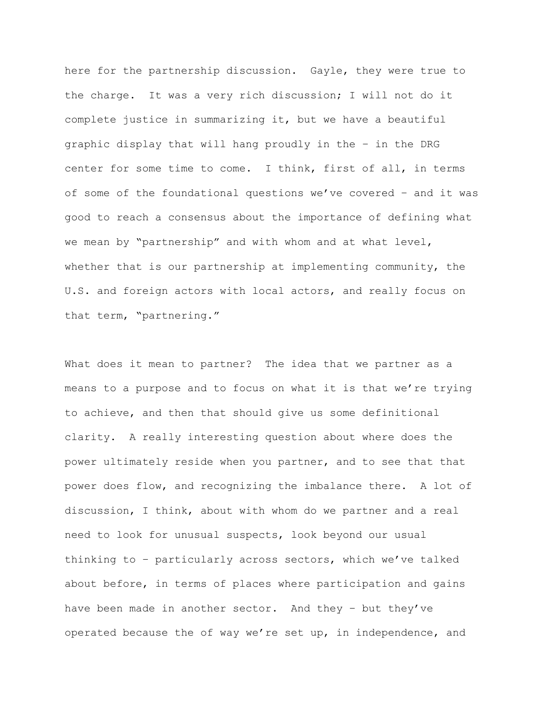here for the partnership discussion. Gayle, they were true to the charge. It was a very rich discussion; I will not do it complete justice in summarizing it, but we have a beautiful graphic display that will hang proudly in the – in the DRG center for some time to come. I think, first of all, in terms of some of the foundational questions we've covered – and it was good to reach a consensus about the importance of defining what we mean by "partnership" and with whom and at what level, whether that is our partnership at implementing community, the U.S. and foreign actors with local actors, and really focus on that term, "partnering."

What does it mean to partner? The idea that we partner as a means to a purpose and to focus on what it is that we're trying to achieve, and then that should give us some definitional clarity. A really interesting question about where does the power ultimately reside when you partner, and to see that that power does flow, and recognizing the imbalance there. A lot of discussion, I think, about with whom do we partner and a real need to look for unusual suspects, look beyond our usual thinking to – particularly across sectors, which we've talked about before, in terms of places where participation and gains have been made in another sector. And they – but they've operated because the of way we're set up, in independence, and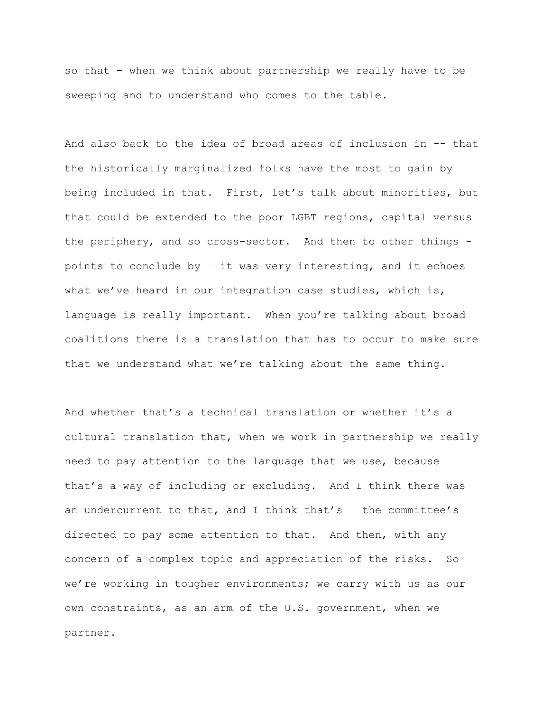so that – when we think about partnership we really have to be sweeping and to understand who comes to the table.

And also back to the idea of broad areas of inclusion in -- that the historically marginalized folks have the most to gain by being included in that. First, let's talk about minorities, but that could be extended to the poor LGBT regions, capital versus the periphery, and so cross-sector. And then to other things – points to conclude by – it was very interesting, and it echoes what we've heard in our integration case studies, which is, language is really important. When you're talking about broad coalitions there is a translation that has to occur to make sure that we understand what we're talking about the same thing.

And whether that's a technical translation or whether it's a cultural translation that, when we work in partnership we really need to pay attention to the language that we use, because that's a way of including or excluding. And I think there was an undercurrent to that, and I think that's  $-$  the committee's directed to pay some attention to that. And then, with any concern of a complex topic and appreciation of the risks. So we're working in tougher environments; we carry with us as our own constraints, as an arm of the U.S. government, when we partner.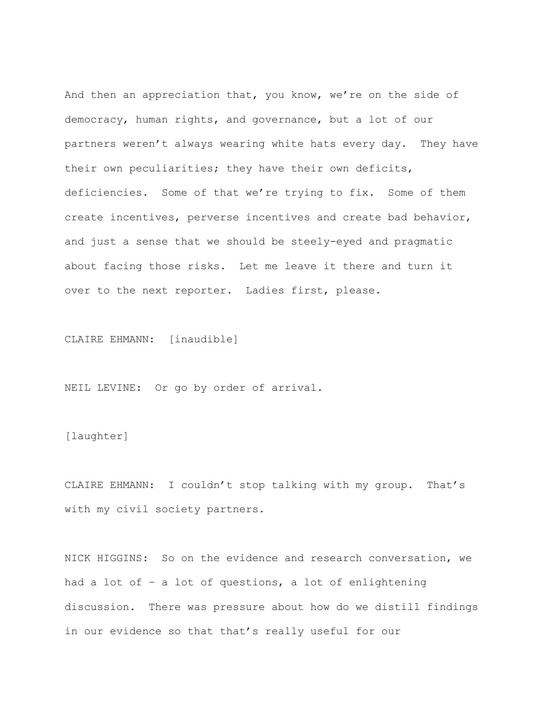And then an appreciation that, you know, we're on the side of democracy, human rights, and governance, but a lot of our partners weren't always wearing white hats every day. They have their own peculiarities; they have their own deficits, deficiencies. Some of that we're trying to fix. Some of them create incentives, perverse incentives and create bad behavior, and just a sense that we should be steely-eyed and pragmatic about facing those risks. Let me leave it there and turn it over to the next reporter. Ladies first, please.

CLAIRE EHMANN: [inaudible]

NEIL LEVINE: Or go by order of arrival.

[laughter]

CLAIRE EHMANN: I couldn't stop talking with my group. That's with my civil society partners.

NICK HIGGINS: So on the evidence and research conversation, we had a lot of – a lot of questions, a lot of enlightening discussion. There was pressure about how do we distill findings in our evidence so that that's really useful for our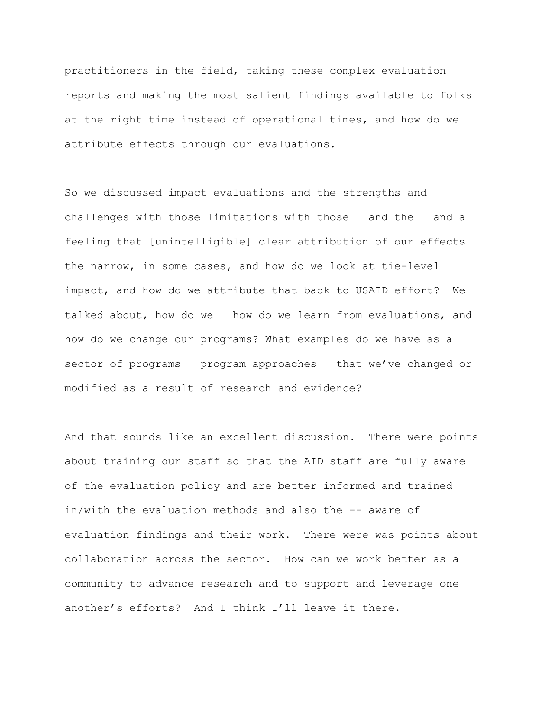practitioners in the field, taking these complex evaluation reports and making the most salient findings available to folks at the right time instead of operational times, and how do we attribute effects through our evaluations.

So we discussed impact evaluations and the strengths and challenges with those limitations with those – and the – and a feeling that [unintelligible] clear attribution of our effects the narrow, in some cases, and how do we look at tie-level impact, and how do we attribute that back to USAID effort? We talked about, how do we – how do we learn from evaluations, and how do we change our programs? What examples do we have as a sector of programs – program approaches – that we've changed or modified as a result of research and evidence?

And that sounds like an excellent discussion. There were points about training our staff so that the AID staff are fully aware of the evaluation policy and are better informed and trained in/with the evaluation methods and also the -- aware of evaluation findings and their work. There were was points about collaboration across the sector. How can we work better as a community to advance research and to support and leverage one another's efforts? And I think I'll leave it there.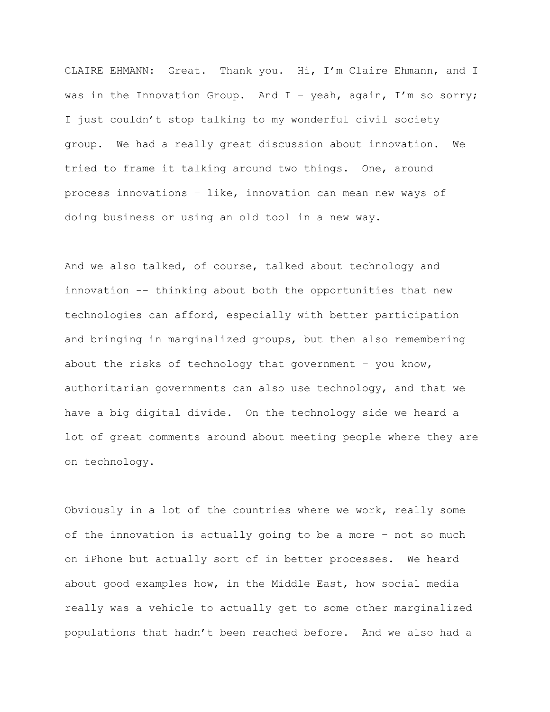CLAIRE EHMANN: Great. Thank you. Hi, I'm Claire Ehmann, and I was in the Innovation Group. And I - yeah, again, I'm so sorry; I just couldn't stop talking to my wonderful civil society group. We had a really great discussion about innovation. We tried to frame it talking around two things. One, around process innovations – like, innovation can mean new ways of doing business or using an old tool in a new way.

And we also talked, of course, talked about technology and innovation -- thinking about both the opportunities that new technologies can afford, especially with better participation and bringing in marginalized groups, but then also remembering about the risks of technology that government - you know, authoritarian governments can also use technology, and that we have a big digital divide. On the technology side we heard a lot of great comments around about meeting people where they are on technology.

Obviously in a lot of the countries where we work, really some of the innovation is actually going to be a more – not so much on iPhone but actually sort of in better processes. We heard about good examples how, in the Middle East, how social media really was a vehicle to actually get to some other marginalized populations that hadn't been reached before. And we also had a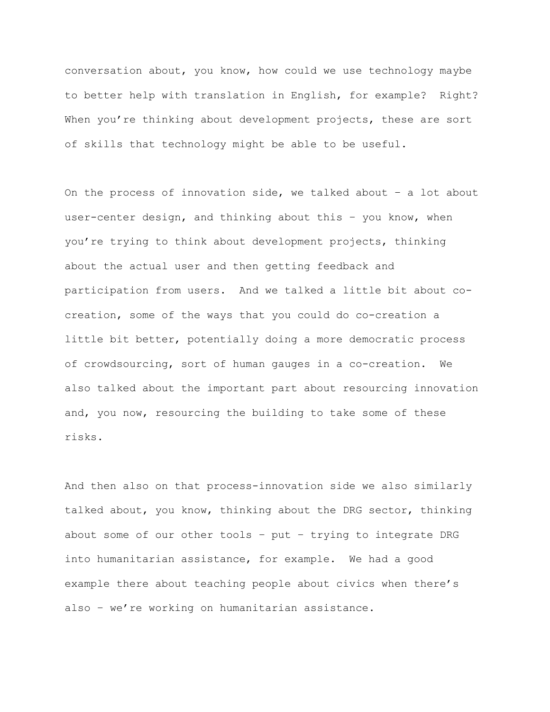conversation about, you know, how could we use technology maybe to better help with translation in English, for example? Right? When you're thinking about development projects, these are sort of skills that technology might be able to be useful.

On the process of innovation side, we talked about – a lot about user-center design, and thinking about this – you know, when you're trying to think about development projects, thinking about the actual user and then getting feedback and participation from users. And we talked a little bit about cocreation, some of the ways that you could do co-creation a little bit better, potentially doing a more democratic process of crowdsourcing, sort of human gauges in a co-creation. We also talked about the important part about resourcing innovation and, you now, resourcing the building to take some of these risks.

And then also on that process-innovation side we also similarly talked about, you know, thinking about the DRG sector, thinking about some of our other tools – put – trying to integrate DRG into humanitarian assistance, for example. We had a good example there about teaching people about civics when there's also – we're working on humanitarian assistance.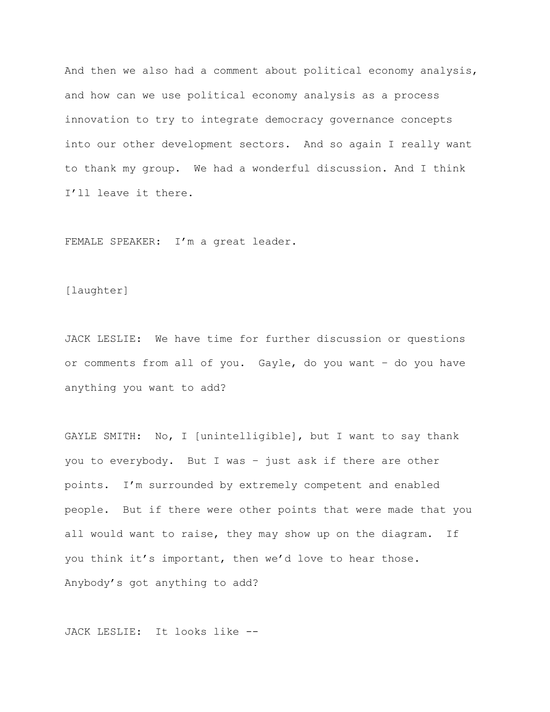And then we also had a comment about political economy analysis, and how can we use political economy analysis as a process innovation to try to integrate democracy governance concepts into our other development sectors. And so again I really want to thank my group. We had a wonderful discussion. And I think I'll leave it there.

FEMALE SPEAKER: I'm a great leader.

## [laughter]

JACK LESLIE: We have time for further discussion or questions or comments from all of you. Gayle, do you want – do you have anything you want to add?

GAYLE SMITH: No, I [unintelligible], but I want to say thank you to everybody. But I was – just ask if there are other points. I'm surrounded by extremely competent and enabled people. But if there were other points that were made that you all would want to raise, they may show up on the diagram. If you think it's important, then we'd love to hear those. Anybody's got anything to add?

JACK LESLIE: It looks like --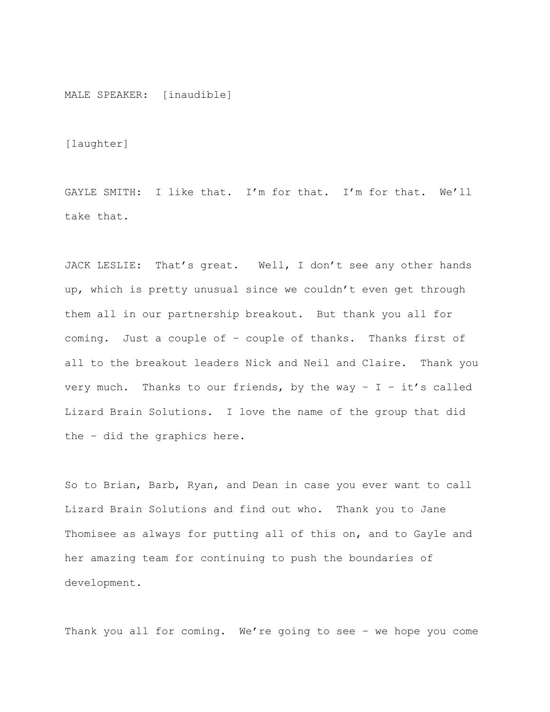MALE SPEAKER: [inaudible]

[laughter]

GAYLE SMITH: I like that. I'm for that. I'm for that. We'll take that.

JACK LESLIE: That's great. Well, I don't see any other hands up, which is pretty unusual since we couldn't even get through them all in our partnership breakout. But thank you all for coming. Just a couple of – couple of thanks. Thanks first of all to the breakout leaders Nick and Neil and Claire. Thank you very much. Thanks to our friends, by the way  $- I - it's$  called Lizard Brain Solutions. I love the name of the group that did the – did the graphics here.

So to Brian, Barb, Ryan, and Dean in case you ever want to call Lizard Brain Solutions and find out who. Thank you to Jane Thomisee as always for putting all of this on, and to Gayle and her amazing team for continuing to push the boundaries of development.

Thank you all for coming. We're going to see – we hope you come